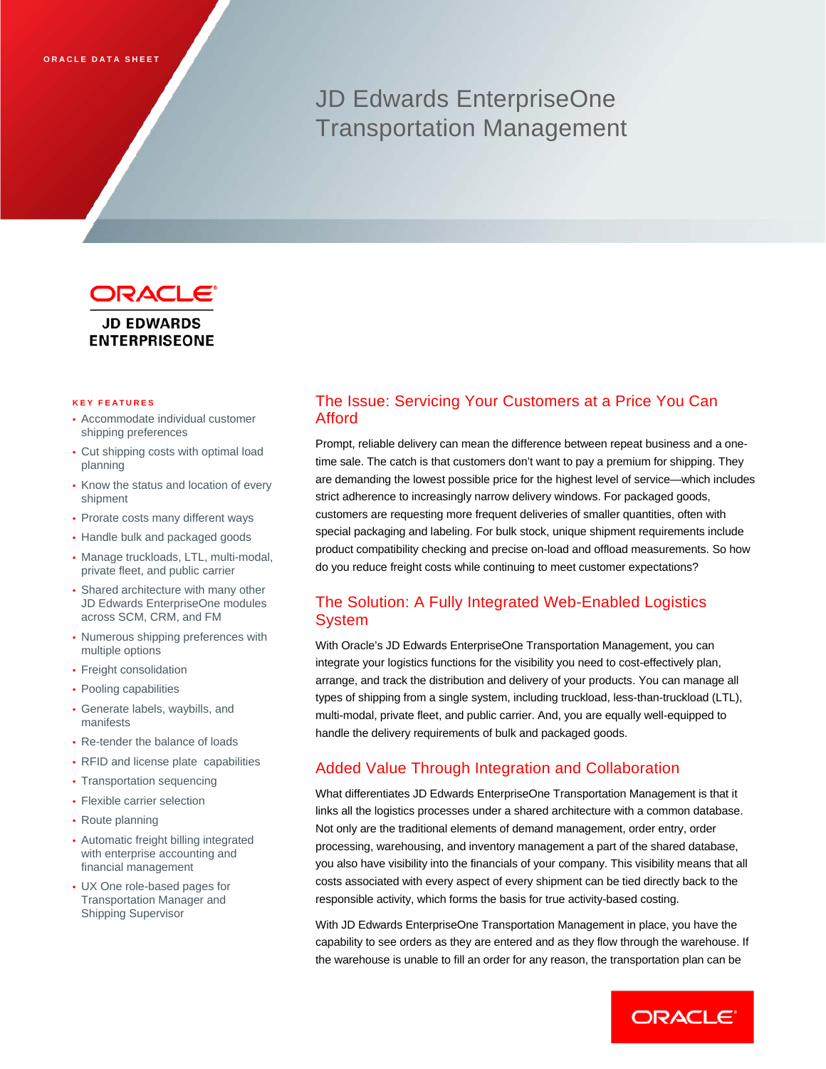# JD Edwards EnterpriseOne Transportation Management



**JD EDWARDS ENTERPRISEONE** 

#### **KEY FEATURE S**

- Accommodate individual customer shipping preferences
- Cut shipping costs with optimal load planning
- Know the status and location of every shipment
- Prorate costs many different ways
- Handle bulk and packaged goods
- Manage truckloads, LTL, multi-modal, private fleet, and public carrier
- Shared architecture with many other JD Edwards EnterpriseOne modules across SCM, CRM, and FM
- Numerous shipping preferences with multiple options
- Freight consolidation
- Pooling capabilities
- Generate labels, waybills, and manifests
- Re-tender the balance of loads
- RFID and license plate capabilities
- Transportation sequencing
- Flexible carrier selection
- Route planning
- Automatic freight billing integrated with enterprise accounting and financial management
- UX One role-based pages for Transportation Manager and Shipping Supervisor

# The Issue: Servicing Your Customers at a Price You Can Afford

Prompt, reliable delivery can mean the difference between repeat business and a onetime sale. The catch is that customers don't want to pay a premium for shipping. They are demanding the lowest possible price for the highest level of service—which includes strict adherence to increasingly narrow delivery windows. For packaged goods, customers are requesting more frequent deliveries of smaller quantities, often with special packaging and labeling. For bulk stock, unique shipment requirements include product compatibility checking and precise on-load and offload measurements. So how do you reduce freight costs while continuing to meet customer expectations?

# The Solution: A Fully Integrated Web-Enabled Logistics System

With Oracle's JD Edwards EnterpriseOne Transportation Management, you can integrate your logistics functions for the visibility you need to cost-effectively plan, arrange, and track the distribution and delivery of your products. You can manage all types of shipping from a single system, including truckload, less-than-truckload (LTL), multi-modal, private fleet, and public carrier. And, you are equally well-equipped to handle the delivery requirements of bulk and packaged goods.

# Added Value Through Integration and Collaboration

What differentiates JD Edwards EnterpriseOne Transportation Management is that it links all the logistics processes under a shared architecture with a common database. Not only are the traditional elements of demand management, order entry, order processing, warehousing, and inventory management a part of the shared database, you also have visibility into the financials of your company. This visibility means that all costs associated with every aspect of every shipment can be tied directly back to the responsible activity, which forms the basis for true activity-based costing.

With JD Edwards EnterpriseOne Transportation Management in place, you have the capability to see orders as they are entered and as they flow through the warehouse. If the warehouse is unable to fill an order for any reason, the transportation plan can be

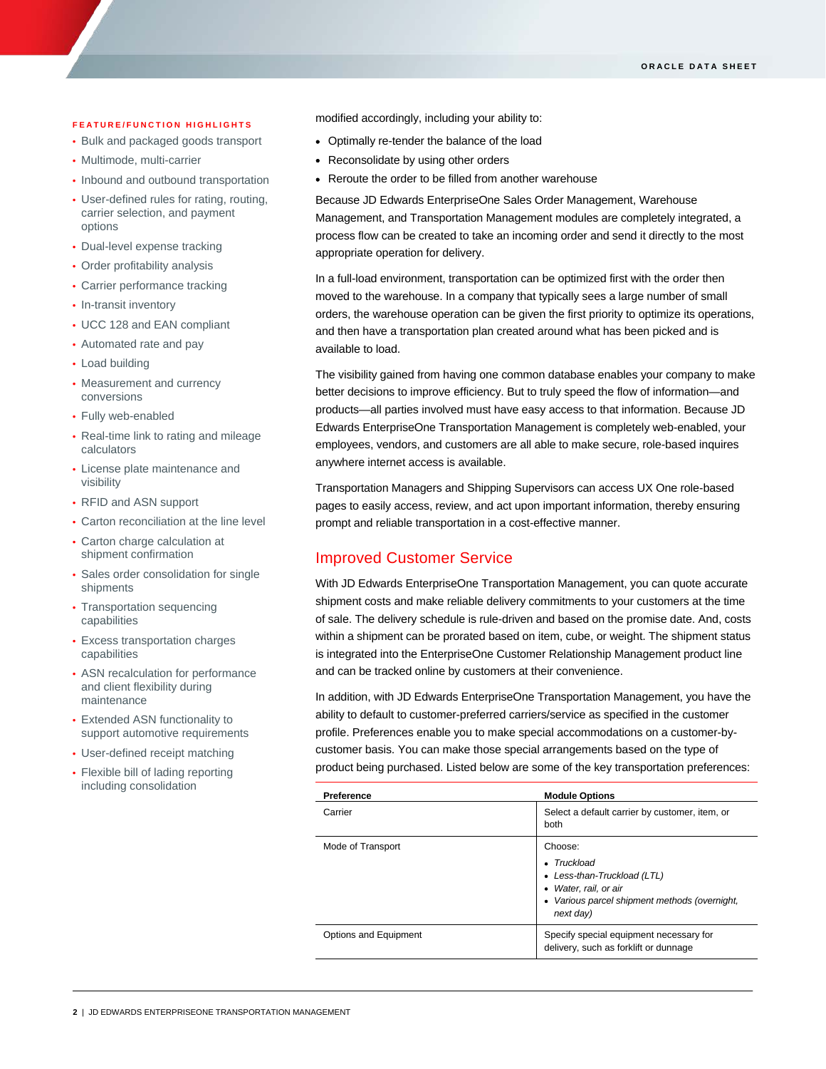#### **FEATURE/FUNCTION HIGHLIGHTS**

- Bulk and packaged goods transport
- Multimode, multi-carrier
- Inbound and outbound transportation
- User-defined rules for rating, routing, carrier selection, and payment options
- Dual-level expense tracking
- Order profitability analysis
- Carrier performance tracking
- In-transit inventory
- UCC 128 and EAN compliant
- Automated rate and pay
- Load building
- Measurement and currency conversions
- Fully web-enabled
- Real-time link to rating and mileage calculators
- License plate maintenance and visibility
- RFID and ASN support
- Carton reconciliation at the line level
- Carton charge calculation at shipment confirmation
- Sales order consolidation for single shipments
- Transportation sequencing capabilities
- **Excess transportation charges** capabilities
- ASN recalculation for performance and client flexibility during maintenance
- Extended ASN functionality to support automotive requirements
- User-defined receipt matching
- Flexible bill of lading reporting including consolidation

modified accordingly, including your ability to:

- Optimally re-tender the balance of the load
- Reconsolidate by using other orders
- Reroute the order to be filled from another warehouse

Because JD Edwards EnterpriseOne Sales Order Management, Warehouse Management, and Transportation Management modules are completely integrated, a process flow can be created to take an incoming order and send it directly to the most appropriate operation for delivery.

In a full-load environment, transportation can be optimized first with the order then moved to the warehouse. In a company that typically sees a large number of small orders, the warehouse operation can be given the first priority to optimize its operations, and then have a transportation plan created around what has been picked and is available to load.

The visibility gained from having one common database enables your company to make better decisions to improve efficiency. But to truly speed the flow of information—and products—all parties involved must have easy access to that information. Because JD Edwards EnterpriseOne Transportation Management is completely web-enabled, your employees, vendors, and customers are all able to make secure, role-based inquires anywhere internet access is available.

Transportation Managers and Shipping Supervisors can access UX One role-based pages to easily access, review, and act upon important information, thereby ensuring prompt and reliable transportation in a cost-effective manner.

## Improved Customer Service

With JD Edwards EnterpriseOne Transportation Management, you can quote accurate shipment costs and make reliable delivery commitments to your customers at the time of sale. The delivery schedule is rule-driven and based on the promise date. And, costs within a shipment can be prorated based on item, cube, or weight. The shipment status is integrated into the EnterpriseOne Customer Relationship Management product line and can be tracked online by customers at their convenience.

In addition, with JD Edwards EnterpriseOne Transportation Management, you have the ability to default to customer-preferred carriers/service as specified in the customer profile. Preferences enable you to make special accommodations on a customer-bycustomer basis. You can make those special arrangements based on the type of product being purchased. Listed below are some of the key transportation preferences:

| Preference            | <b>Module Options</b>                                                                                                                                |
|-----------------------|------------------------------------------------------------------------------------------------------------------------------------------------------|
| Carrier               | Select a default carrier by customer, item, or<br>both                                                                                               |
| Mode of Transport     | Choose:<br>$\bullet$ Truckload<br>• Less-than-Truckload (LTL)<br>• Water, rail, or air<br>• Various parcel shipment methods (overnight,<br>next day) |
| Options and Equipment | Specify special equipment necessary for<br>delivery, such as forklift or dunnage                                                                     |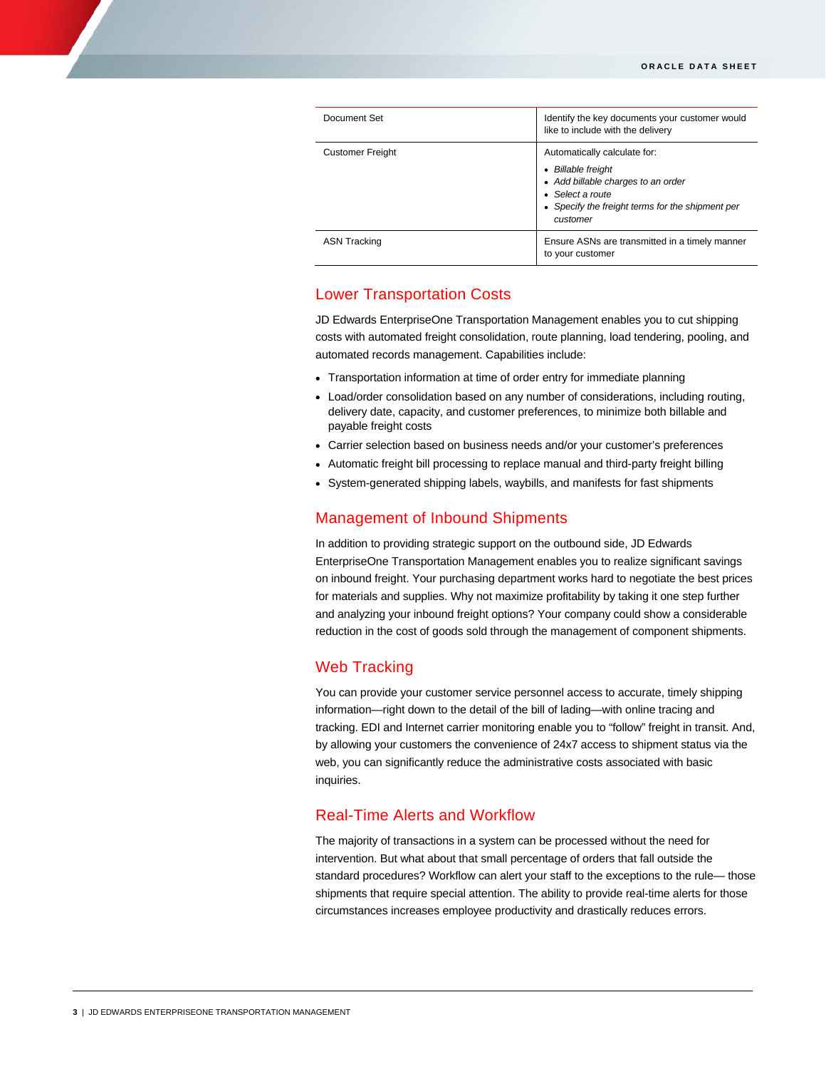| Document Set            | Identify the key documents your customer would<br>like to include with the delivery                                                                                                       |
|-------------------------|-------------------------------------------------------------------------------------------------------------------------------------------------------------------------------------------|
| <b>Customer Freight</b> | Automatically calculate for:<br><b>Billable freight</b><br>٠<br>• Add billable charges to an order<br>Select a route<br>٠<br>• Specify the freight terms for the shipment per<br>customer |
| <b>ASN Tracking</b>     | Ensure ASNs are transmitted in a timely manner<br>to your customer                                                                                                                        |

# Lower Transportation Costs

JD Edwards EnterpriseOne Transportation Management enables you to cut shipping costs with automated freight consolidation, route planning, load tendering, pooling, and automated records management. Capabilities include:

- Transportation information at time of order entry for immediate planning
- Load/order consolidation based on any number of considerations, including routing, delivery date, capacity, and customer preferences, to minimize both billable and payable freight costs
- Carrier selection based on business needs and/or your customer's preferences
- Automatic freight bill processing to replace manual and third-party freight billing
- System-generated shipping labels, waybills, and manifests for fast shipments

## Management of Inbound Shipments

In addition to providing strategic support on the outbound side, JD Edwards EnterpriseOne Transportation Management enables you to realize significant savings on inbound freight. Your purchasing department works hard to negotiate the best prices for materials and supplies. Why not maximize profitability by taking it one step further and analyzing your inbound freight options? Your company could show a considerable reduction in the cost of goods sold through the management of component shipments.

## Web Tracking

You can provide your customer service personnel access to accurate, timely shipping information—right down to the detail of the bill of lading—with online tracing and tracking. EDI and Internet carrier monitoring enable you to "follow" freight in transit. And, by allowing your customers the convenience of 24x7 access to shipment status via the web, you can significantly reduce the administrative costs associated with basic inquiries.

## Real-Time Alerts and Workflow

The majority of transactions in a system can be processed without the need for intervention. But what about that small percentage of orders that fall outside the standard procedures? Workflow can alert your staff to the exceptions to the rule— those shipments that require special attention. The ability to provide real-time alerts for those circumstances increases employee productivity and drastically reduces errors.